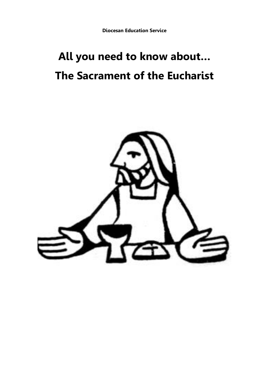# **All you need to know about… The Sacrament of the Eucharist**

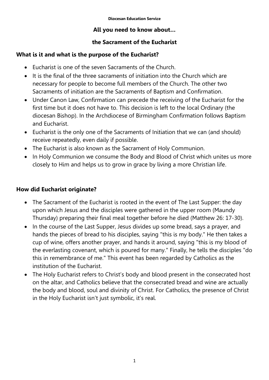## **All you need to know about…**

# **the Sacrament of the Eucharist**

# **What is it and what is the purpose of the Eucharist?**

- Eucharist is one of the seven Sacraments of the Church.
- $\bullet$  It is the final of the three sacraments of initiation into the Church which are necessary for people to become full members of the Church. The other two Sacraments of initiation are the Sacraments of Baptism and Confirmation.
- Under Canon Law, Confirmation can precede the receiving of the Eucharist for the first time but it does not have to. This decision is left to the local Ordinary (the diocesan Bishop). In the Archdiocese of Birmingham Confirmation follows Baptism and Eucharist.
- Eucharist is the only one of the Sacraments of Initiation that we can (and should) receive repeatedly, even daily if possible.
- The Eucharist is also known as the Sacrament of Holy Communion.
- In Holy Communion we consume the Body and Blood of Christ which unites us more closely to Him and helps us to grow in grace by living a more Christian life.

# **How did Eucharist originate?**

- The Sacrament of the Eucharist is rooted in the event of The Last Supper: the day upon which Jesus and the disciples were gathered in the upper room (Maundy Thursday) preparing their final meal together before he died (Matthew 26: 17-30).
- In the course of the Last Supper, Jesus divides up some bread, says a prayer, and hands the pieces of bread to his disciples, saying "this is my body." He then takes a cup of wine, offers another prayer, and hands it around, saying "this is my blood of the everlasting covenant, which is poured for many." Finally, he tells the disciples "do this in remembrance of me." This event has been regarded by Catholics as the institution of the Eucharist.
- The Holy Eucharist refers to Christ's body and blood present in the consecrated host on the altar, and Catholics believe that the consecrated bread and wine are actually the body and blood, soul and divinity of Christ. For Catholics, the presence of Christ in the Holy Eucharist isn't just symbolic, it's real.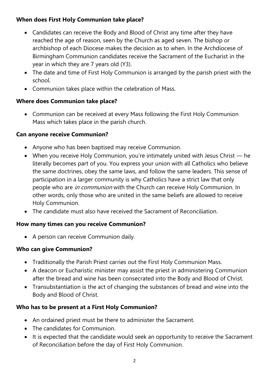# **When does First Holy Communion take place?**

- Candidates can receive the Body and Blood of Christ any time after they have reached the age of reason, seen by the Church as aged seven. The bishop or archbishop of each Diocese makes the decision as to when. In the Archdiocese of Birmingham Communion candidates receive the Sacrament of the Eucharist in the year in which they are 7 years old (Y3).
- The date and time of First Holy Communion is arranged by the parish priest with the school.
- Communion takes place within the celebration of Mass.

# **Where does Communion take place?**

 Communion can be received at every Mass following the First Holy Communion Mass which takes place in the parish church.

## **Can anyone receive Communion?**

- Anyone who has been baptised may receive Communion.
- When you receive Holy Communion, you're intimately united with Jesus Christ he literally becomes part of you. You express your union with all Catholics who believe the same doctrines, obey the same laws, and follow the same leaders. This sense of participation in a larger community is why Catholics have a strict law that only people who are *in communion* with the Church can receive Holy Communion. In other words, only those who are united in the same beliefs are allowed to receive Holy Communion.
- The candidate must also have received the Sacrament of Reconciliation.

#### **How many times can you receive Communion?**

• A person can receive Communion daily.

#### **Who can give Communion?**

- Traditionally the Parish Priest carries out the First Holy Communion Mass.
- A deacon or Eucharistic minister may assist the priest in administering Communion after the bread and wine has been consecrated into the Body and Blood of Christ.
- Transubstantiation is the act of changing the substances of bread and wine into the Body and Blood of Christ.

# **Who has to be present at a First Holy Communion?**

- An ordained priest must be there to administer the Sacrament.
- The candidates for Communion.
- It is expected that the candidate would seek an opportunity to receive the Sacrament of Reconciliation before the day of First Holy Communion.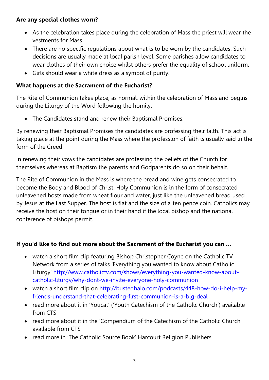## **Are any special clothes worn?**

- As the celebration takes place during the celebration of Mass the priest will wear the vestments for Mass.
- There are no specific regulations about what is to be worn by the candidates. Such decisions are usually made at local parish level. Some parishes allow candidates to wear clothes of their own choice whilst others prefer the equality of school uniform.
- Girls should wear a white dress as a symbol of purity.

#### **What happens at the Sacrament of the Eucharist?**

The Rite of Communion takes place, as normal, within the celebration of Mass and begins during the Liturgy of the Word following the homily.

The Candidates stand and renew their Baptismal Promises.

By renewing their Baptismal Promises the candidates are professing their faith. This act is taking place at the point during the Mass where the profession of faith is usually said in the form of the Creed.

In renewing their vows the candidates are professing the beliefs of the Church for themselves whereas at Baptism the parents and Godparents do so on their behalf.

The Rite of Communion in the Mass is where the bread and wine gets consecrated to become the Body and Blood of Christ. Holy Communion is in the form of consecrated unleavened hosts made from wheat flour and water, just like the unleavened bread used by Jesus at the Last Supper. The host is flat and the size of a ten pence coin. Catholics may receive the host on their tongue or in their hand if the local bishop and the national conference of bishops permit.

#### **If you'd like to find out more about the Sacrament of the Eucharist you can …**

- watch a short film clip featuring Bishop Christopher Coyne on the Catholic TV Network from a series of talks 'Everything you wanted to know about Catholic Liturgy' [http://www.catholictv.com/shows/everything-you-wanted-know-about](http://www.catholictv.com/shows/everything-you-wanted-know-about-catholic-liturgy/why-dont-we-invite-everyone-holy-communion)[catholic-liturgy/why-dont-we-invite-everyone-holy-communion](http://www.catholictv.com/shows/everything-you-wanted-know-about-catholic-liturgy/why-dont-we-invite-everyone-holy-communion)
- watch a short film clip on [http://bustedhalo.com/podcasts/448-how-do-i-help-my](http://bustedhalo.com/podcasts/448-how-do-i-help-my-friends-understand-that-celebrating-first-communion-is-a-big-deal)[friends-understand-that-celebrating-first-communion-is-a-big-deal](http://bustedhalo.com/podcasts/448-how-do-i-help-my-friends-understand-that-celebrating-first-communion-is-a-big-deal)
- read more about it in 'Youcat' ('Youth Catechism of the Catholic Church') available from CTS
- read more about it in the 'Compendium of the Catechism of the Catholic Church' available from CTS
- read more in 'The Catholic Source Book' Harcourt Religion Publishers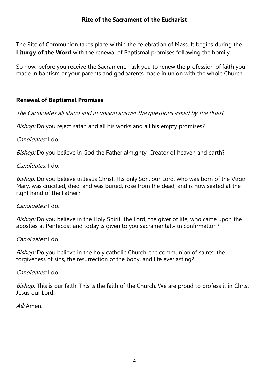The Rite of Communion takes place within the celebration of Mass. It begins during the **Liturgy of the Word** with the renewal of Baptismal promises following the homily.

So now, before you receive the Sacrament, I ask you to renew the profession of faith you made in baptism or your parents and godparents made in union with the whole Church.

# **Renewal of Baptismal Promises**

The Candidates all stand and in unison answer the questions asked by the Priest.

Bishop: Do you reject satan and all his works and all his empty promises?

Candidates: I do.

Bishop: Do you believe in God the Father almighty, Creator of heaven and earth?

Candidates: I do.

Bishop: Do you believe in Jesus Christ, His only Son, our Lord, who was born of the Virgin Mary, was crucified, died, and was buried, rose from the dead, and is now seated at the right hand of the Father?

Candidates: I do.

Bishop: Do you believe in the Holy Spirit, the Lord, the giver of life, who came upon the apostles at Pentecost and today is given to you sacramentally in confirmation?

Candidates: I do.

Bishop: Do you believe in the holy catholic Church, the communion of saints, the forgiveness of sins, the resurrection of the body, and life everlasting?

Candidates: I do.

Bishop: This is our faith. This is the faith of the Church. We are proud to profess it in Christ Jesus our Lord.

All: Amen.